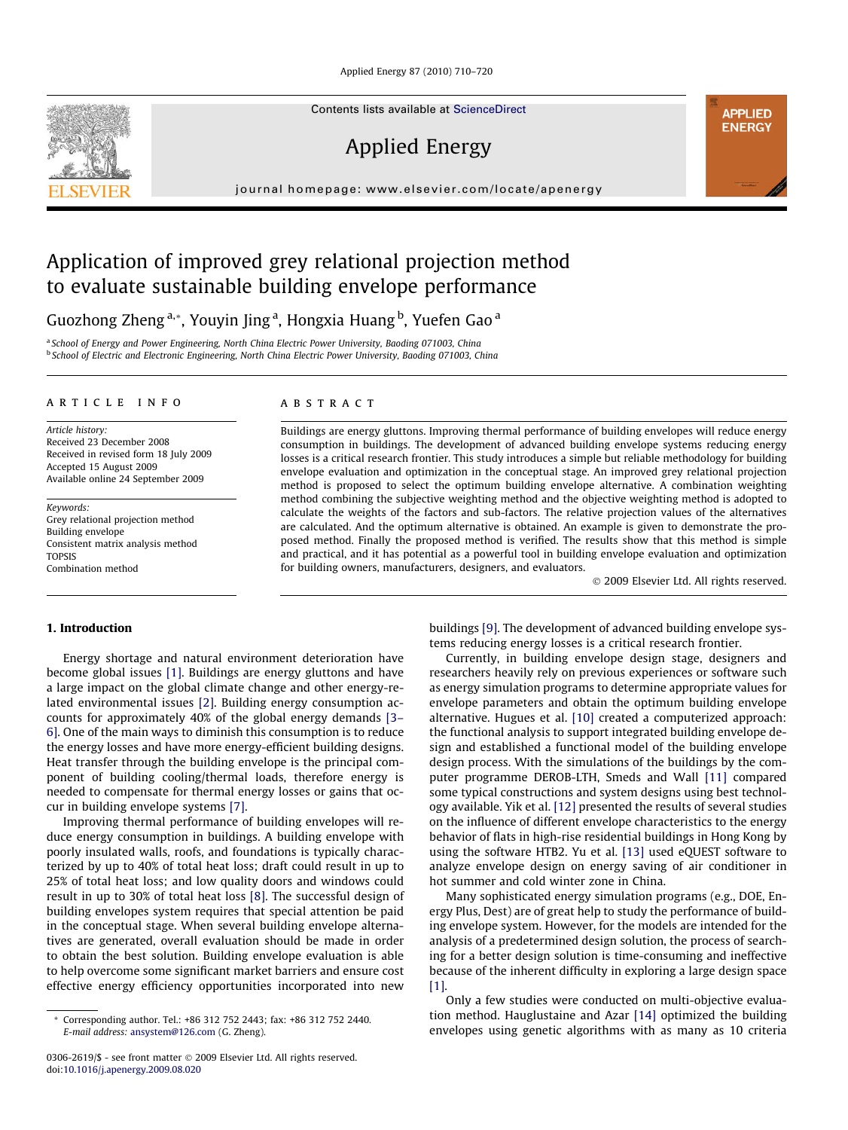Applied Energy 87 (2010) 710–720

Contents lists available at [ScienceDirect](http://www.sciencedirect.com/science/journal/03062619)

Applied Energy

journal homepage: [www.elsevier.com/locate/apenergy](http://www.elsevier.com/locate/apenergy)

## Application of improved grey relational projection method to evaluate sustainable building envelope performance

Guozhong Zheng<sup>a,</sup>\*, Youyin Jing<sup>a</sup>, Hongxia Huang<sup>b</sup>, Yuefen Gao<sup>a</sup>

<sup>a</sup> School of Energy and Power Engineering, North China Electric Power University, Baoding 071003, China **b School of Electric and Electronic Engineering, North China Electric Power University, Baoding 071003, China** 

#### article info

Article history: Received 23 December 2008 Received in revised form 18 July 2009 Accepted 15 August 2009 Available online 24 September 2009

Keywords: Grey relational projection method Building envelope Consistent matrix analysis method TOPSIS Combination method

#### ABSTRACT

Buildings are energy gluttons. Improving thermal performance of building envelopes will reduce energy consumption in buildings. The development of advanced building envelope systems reducing energy losses is a critical research frontier. This study introduces a simple but reliable methodology for building envelope evaluation and optimization in the conceptual stage. An improved grey relational projection method is proposed to select the optimum building envelope alternative. A combination weighting method combining the subjective weighting method and the objective weighting method is adopted to calculate the weights of the factors and sub-factors. The relative projection values of the alternatives are calculated. And the optimum alternative is obtained. An example is given to demonstrate the proposed method. Finally the proposed method is verified. The results show that this method is simple and practical, and it has potential as a powerful tool in building envelope evaluation and optimization for building owners, manufacturers, designers, and evaluators.

- 2009 Elsevier Ltd. All rights reserved.

**APPLIED FNFRGY** 

#### 1. Introduction

Energy shortage and natural environment deterioration have become global issues [\[1\].](#page--1-0) Buildings are energy gluttons and have a large impact on the global climate change and other energy-related environmental issues [\[2\]](#page--1-0). Building energy consumption accounts for approximately 40% of the global energy demands [\[3–](#page--1-0) [6\]](#page--1-0). One of the main ways to diminish this consumption is to reduce the energy losses and have more energy-efficient building designs. Heat transfer through the building envelope is the principal component of building cooling/thermal loads, therefore energy is needed to compensate for thermal energy losses or gains that occur in building envelope systems [\[7\]](#page--1-0).

Improving thermal performance of building envelopes will reduce energy consumption in buildings. A building envelope with poorly insulated walls, roofs, and foundations is typically characterized by up to 40% of total heat loss; draft could result in up to 25% of total heat loss; and low quality doors and windows could result in up to 30% of total heat loss [\[8\]](#page--1-0). The successful design of building envelopes system requires that special attention be paid in the conceptual stage. When several building envelope alternatives are generated, overall evaluation should be made in order to obtain the best solution. Building envelope evaluation is able to help overcome some significant market barriers and ensure cost effective energy efficiency opportunities incorporated into new buildings [\[9\]](#page--1-0). The development of advanced building envelope systems reducing energy losses is a critical research frontier.

Currently, in building envelope design stage, designers and researchers heavily rely on previous experiences or software such as energy simulation programs to determine appropriate values for envelope parameters and obtain the optimum building envelope alternative. Hugues et al. [\[10\]](#page--1-0) created a computerized approach: the functional analysis to support integrated building envelope design and established a functional model of the building envelope design process. With the simulations of the buildings by the computer programme DEROB-LTH, Smeds and Wall [\[11\]](#page--1-0) compared some typical constructions and system designs using best technology available. Yik et al. [\[12\]](#page--1-0) presented the results of several studies on the influence of different envelope characteristics to the energy behavior of flats in high-rise residential buildings in Hong Kong by using the software HTB2. Yu et al. [\[13\]](#page--1-0) used eQUEST software to analyze envelope design on energy saving of air conditioner in hot summer and cold winter zone in China.

Many sophisticated energy simulation programs (e.g., DOE, Energy Plus, Dest) are of great help to study the performance of building envelope system. However, for the models are intended for the analysis of a predetermined design solution, the process of searching for a better design solution is time-consuming and ineffective because of the inherent difficulty in exploring a large design space [\[1\]](#page--1-0).

Only a few studies were conducted on multi-objective evaluation method. Hauglustaine and Azar [\[14\]](#page--1-0) optimized the building envelopes using genetic algorithms with as many as 10 criteria



<sup>\*</sup> Corresponding author. Tel.: +86 312 752 2443; fax: +86 312 752 2440. E-mail address: [ansystem@126.com](mailto:ansystem@126.com) (G. Zheng).

<sup>0306-2619/\$ -</sup> see front matter © 2009 Elsevier Ltd. All rights reserved. doi:[10.1016/j.apenergy.2009.08.020](http://dx.doi.org/10.1016/j.apenergy.2009.08.020)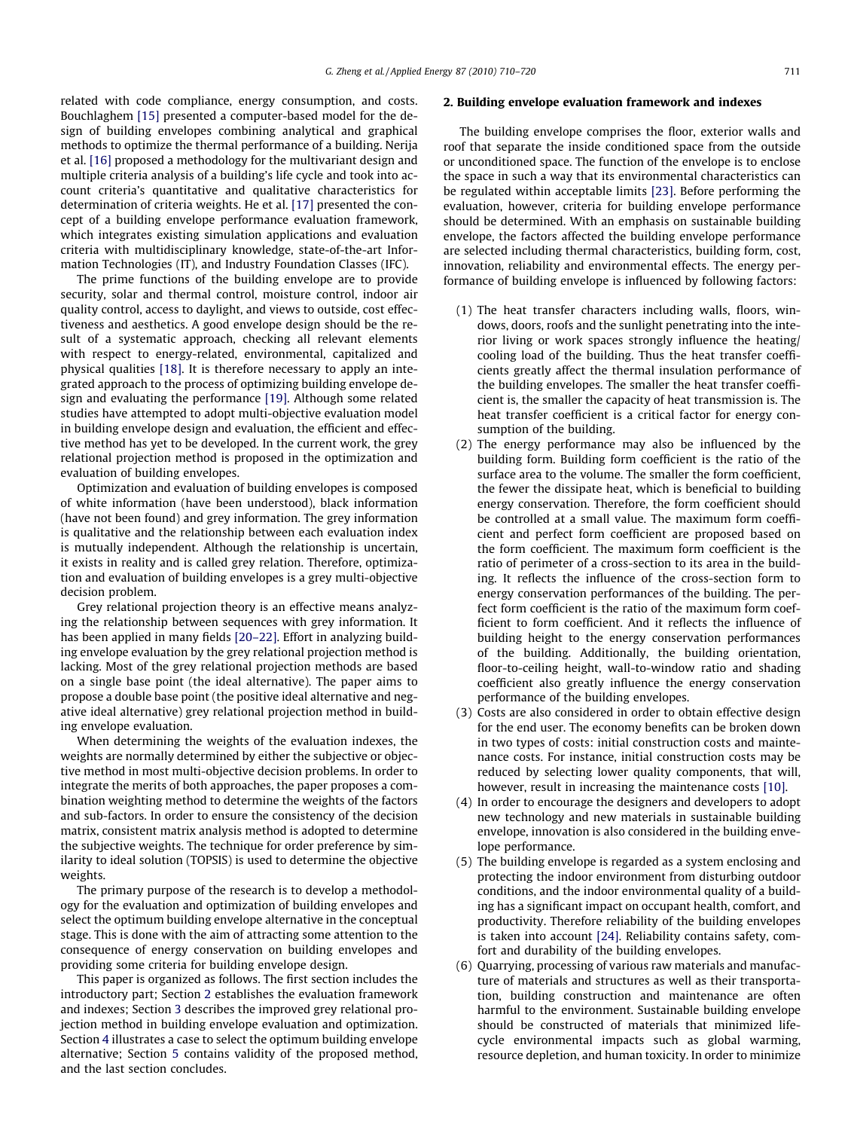related with code compliance, energy consumption, and costs. Bouchlaghem [\[15\]](#page--1-0) presented a computer-based model for the design of building envelopes combining analytical and graphical methods to optimize the thermal performance of a building. Nerija et al. [\[16\]](#page--1-0) proposed a methodology for the multivariant design and multiple criteria analysis of a building's life cycle and took into account criteria's quantitative and qualitative characteristics for determination of criteria weights. He et al. [\[17\]](#page--1-0) presented the concept of a building envelope performance evaluation framework, which integrates existing simulation applications and evaluation criteria with multidisciplinary knowledge, state-of-the-art Information Technologies (IT), and Industry Foundation Classes (IFC).

The prime functions of the building envelope are to provide security, solar and thermal control, moisture control, indoor air quality control, access to daylight, and views to outside, cost effectiveness and aesthetics. A good envelope design should be the result of a systematic approach, checking all relevant elements with respect to energy-related, environmental, capitalized and physical qualities [\[18\].](#page--1-0) It is therefore necessary to apply an integrated approach to the process of optimizing building envelope design and evaluating the performance [\[19\].](#page--1-0) Although some related studies have attempted to adopt multi-objective evaluation model in building envelope design and evaluation, the efficient and effective method has yet to be developed. In the current work, the grey relational projection method is proposed in the optimization and evaluation of building envelopes.

Optimization and evaluation of building envelopes is composed of white information (have been understood), black information (have not been found) and grey information. The grey information is qualitative and the relationship between each evaluation index is mutually independent. Although the relationship is uncertain, it exists in reality and is called grey relation. Therefore, optimization and evaluation of building envelopes is a grey multi-objective decision problem.

Grey relational projection theory is an effective means analyzing the relationship between sequences with grey information. It has been applied in many fields [\[20–22\].](#page--1-0) Effort in analyzing building envelope evaluation by the grey relational projection method is lacking. Most of the grey relational projection methods are based on a single base point (the ideal alternative). The paper aims to propose a double base point (the positive ideal alternative and negative ideal alternative) grey relational projection method in building envelope evaluation.

When determining the weights of the evaluation indexes, the weights are normally determined by either the subjective or objective method in most multi-objective decision problems. In order to integrate the merits of both approaches, the paper proposes a combination weighting method to determine the weights of the factors and sub-factors. In order to ensure the consistency of the decision matrix, consistent matrix analysis method is adopted to determine the subjective weights. The technique for order preference by similarity to ideal solution (TOPSIS) is used to determine the objective weights.

The primary purpose of the research is to develop a methodology for the evaluation and optimization of building envelopes and select the optimum building envelope alternative in the conceptual stage. This is done with the aim of attracting some attention to the consequence of energy conservation on building envelopes and providing some criteria for building envelope design.

This paper is organized as follows. The first section includes the introductory part; Section 2 establishes the evaluation framework and indexes; Section [3](#page--1-0) describes the improved grey relational projection method in building envelope evaluation and optimization. Section [4](#page--1-0) illustrates a case to select the optimum building envelope alternative; Section [5](#page--1-0) contains validity of the proposed method, and the last section concludes.

### 2. Building envelope evaluation framework and indexes

The building envelope comprises the floor, exterior walls and roof that separate the inside conditioned space from the outside or unconditioned space. The function of the envelope is to enclose the space in such a way that its environmental characteristics can be regulated within acceptable limits [\[23\]](#page--1-0). Before performing the evaluation, however, criteria for building envelope performance should be determined. With an emphasis on sustainable building envelope, the factors affected the building envelope performance are selected including thermal characteristics, building form, cost, innovation, reliability and environmental effects. The energy performance of building envelope is influenced by following factors:

- (1) The heat transfer characters including walls, floors, windows, doors, roofs and the sunlight penetrating into the interior living or work spaces strongly influence the heating/ cooling load of the building. Thus the heat transfer coefficients greatly affect the thermal insulation performance of the building envelopes. The smaller the heat transfer coefficient is, the smaller the capacity of heat transmission is. The heat transfer coefficient is a critical factor for energy consumption of the building.
- (2) The energy performance may also be influenced by the building form. Building form coefficient is the ratio of the surface area to the volume. The smaller the form coefficient, the fewer the dissipate heat, which is beneficial to building energy conservation. Therefore, the form coefficient should be controlled at a small value. The maximum form coefficient and perfect form coefficient are proposed based on the form coefficient. The maximum form coefficient is the ratio of perimeter of a cross-section to its area in the building. It reflects the influence of the cross-section form to energy conservation performances of the building. The perfect form coefficient is the ratio of the maximum form coefficient to form coefficient. And it reflects the influence of building height to the energy conservation performances of the building. Additionally, the building orientation, floor-to-ceiling height, wall-to-window ratio and shading coefficient also greatly influence the energy conservation performance of the building envelopes.
- (3) Costs are also considered in order to obtain effective design for the end user. The economy benefits can be broken down in two types of costs: initial construction costs and maintenance costs. For instance, initial construction costs may be reduced by selecting lower quality components, that will, however, result in increasing the maintenance costs [\[10\].](#page--1-0)
- (4) In order to encourage the designers and developers to adopt new technology and new materials in sustainable building envelope, innovation is also considered in the building envelope performance.
- (5) The building envelope is regarded as a system enclosing and protecting the indoor environment from disturbing outdoor conditions, and the indoor environmental quality of a building has a significant impact on occupant health, comfort, and productivity. Therefore reliability of the building envelopes is taken into account [\[24\].](#page--1-0) Reliability contains safety, comfort and durability of the building envelopes.
- (6) Quarrying, processing of various raw materials and manufacture of materials and structures as well as their transportation, building construction and maintenance are often harmful to the environment. Sustainable building envelope should be constructed of materials that minimized lifecycle environmental impacts such as global warming, resource depletion, and human toxicity. In order to minimize